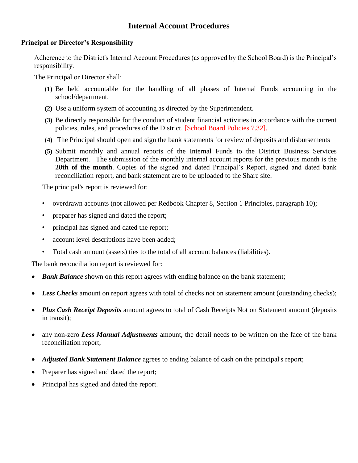# **Internal Account Procedures**

#### **Principal or Director's Responsibility**

Adherence to the District's Internal Account Procedures (as approved by the School Board) is the Principal's responsibility.

The Principal or Director shall:

- **(1)** Be held accountable for the handling of all phases of Internal Funds accounting in the school/department.
- **(2)** Use a uniform system of accounting as directed by the Superintendent.
- **(3)** Be directly responsible for the conduct of student financial activities in accordance with the current policies, rules, and procedures of the District. [School Board Policies 7.32].
- **(4)** The Principal should open and sign the bank statements for review of deposits and disbursements
- **(5)** Submit monthly and annual reports of the Internal Funds to the District Business Services Department. The submission of the monthly internal account reports for the previous month is the 20th of the month. Copies of the signed and dated Principal's Report, signed and dated bank reconciliation report, and bank statement are to be uploaded to the Share site.

The principal's report is reviewed for:

- overdrawn accounts (not allowed per Redbook Chapter 8, Section 1 Principles, paragraph 10);
- preparer has signed and dated the report;
- principal has signed and dated the report;
- account level descriptions have been added;
- Total cash amount (assets) ties to the total of all account balances (liabilities).

The bank reconciliation report is reviewed for:

- **Bank Balance** shown on this report agrees with ending balance on the bank statement;
- Less Checks amount on report agrees with total of checks not on statement amount (outstanding checks);
- *Plus Cash Receipt Deposits* amount agrees to total of Cash Receipts Not on Statement amount (deposits in transit);
- any non-zero *Less Manual Adjustments* amount, the detail needs to be written on the face of the bank reconciliation report;
- *Adjusted Bank Statement Balance* agrees to ending balance of cash on the principal's report;
- Preparer has signed and dated the report;
- Principal has signed and dated the report.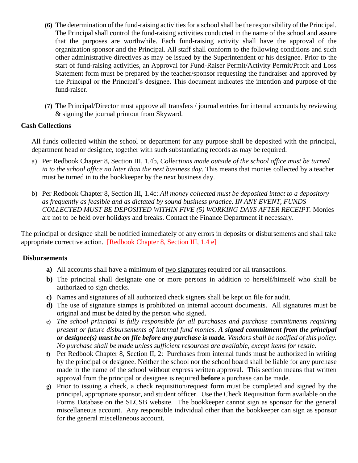- **(6)** The determination of the fund-raising activities for a school shall be the responsibility of the Principal. The Principal shall control the fund-raising activities conducted in the name of the school and assure that the purposes are worthwhile. Each fund-raising activity shall have the approval of the organization sponsor and the Principal. All staff shall conform to the following conditions and such other administrative directives as may be issued by the Superintendent or his designee. Prior to the start of fund-raising activities, an Approval for Fund-Raiser Permit/Activity Permit/Profit and Loss Statement form must be prepared by the teacher/sponsor requesting the fundraiser and approved by the Principal or the Principal's designee. This document indicates the intention and purpose of the fund-raiser.
- **(7)** The Principal/Director must approve all transfers / journal entries for internal accounts by reviewing & signing the journal printout from Skyward.

#### **Cash Collections**

All funds collected within the school or department for any purpose shall be deposited with the principal, department head or designee, together with such substantiating records as may be required.

- a) Per Redbook Chapter 8, Section III, 1.4b, *Collections made outside of the school office must be turned in to the school office no later than the next business day*. This means that monies collected by a teacher must be turned in to the bookkeeper by the next business day.
- b) Per Redbook Chapter 8, Section III, 1.4c: *All money collected must be deposited intact to a depository as frequently as feasible and as dictated by sound business practice. IN ANY EVENT, FUNDS COLLECTED MUST BE DEPOSITED WITHIN FIVE (5) WORKING DAYS AFTER RECEIPT.* Monies are not to be held over holidays and breaks. Contact the Finance Department if necessary.

The principal or designee shall be notified immediately of any errors in deposits or disbursements and shall take appropriate corrective action. [Redbook Chapter 8, Section III, 1.4 e]

#### **Disbursements**

- **a)** All accounts shall have a minimum of two signatures required for all transactions.
- **b)** The principal shall designate one or more persons in addition to herself/himself who shall be authorized to sign checks.
- **c)** Names and signatures of all authorized check signers shall be kept on file for audit.
- **d)** The use of signature stamps is prohibited on internal account documents. All signatures must be original and must be dated by the person who signed.
- **e)** *The school principal is fully responsible for all purchases and purchase commitments requiring present or future disbursements of internal fund monies. A signed commitment from the principal or designee(s) must be on file before any purchase is made. Vendors shall be notified of this policy. No purchase shall be made unless sufficient resources are available, except items for resale.*
- **f)** Per Redbook Chapter 8, Section II, 2: Purchases from internal funds must be authorized in writing by the principal or designee. Neither the school nor the school board shall be liable for any purchase made in the name of the school without express written approval. This section means that written approval from the principal or designee is required **before** a purchase can be made.
- **g)** Prior to issuing a check, a check requisition/request form must be completed and signed by the principal, appropriate sponsor, and student officer. Use the Check Requisition form available on the Forms Database on the SLCSB website. The bookkeeper cannot sign as sponsor for the general miscellaneous account. Any responsible individual other than the bookkeeper can sign as sponsor for the general miscellaneous account.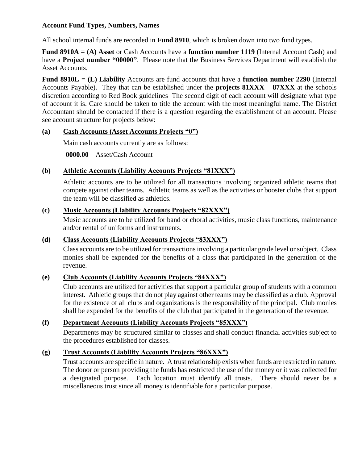### **Account Fund Types, Numbers, Names**

All school internal funds are recorded in **Fund 8910**, which is broken down into two fund types.

**Fund 8910A = (A) Asset** or Cash Accounts have a **function number 1119** (Internal Account Cash) and have a **Project number "00000"**. Please note that the Business Services Department will establish the Asset Accounts.

**Fund 8910L** = **(L) Liability** Accounts are fund accounts that have a **function number 2290** (Internal Accounts Payable). They that can be established under the **projects 81XXX – 87XXX** at the schools discretion according to Red Book guidelines The second digit of each account will designate what type of account it is. Care should be taken to title the account with the most meaningful name. The District Accountant should be contacted if there is a question regarding the establishment of an account. Please see account structure for projects below:

### **(a) Cash Accounts (Asset Accounts Projects "0")**

Main cash accounts currently are as follows:

**0000.00** – Asset/Cash Account

### **(b) Athletic Accounts (Liability Accounts Projects "81XXX")**

Athletic accounts are to be utilized for all transactions involving organized athletic teams that compete against other teams. Athletic teams as well as the activities or booster clubs that support the team will be classified as athletics.

#### **(c) Music Accounts (Liability Accounts Projects "82XXX")**

Music accounts are to be utilized for band or choral activities, music class functions, maintenance and/or rental of uniforms and instruments.

#### **(d) Class Accounts (Liability Accounts Projects "83XXX")**

Class accounts are to be utilized for transactions involving a particular grade level or subject. Class monies shall be expended for the benefits of a class that participated in the generation of the revenue.

## **(e) Club Accounts (Liability Accounts Projects "84XXX")**

Club accounts are utilized for activities that support a particular group of students with a common interest. Athletic groups that do not play against other teams may be classified as a club. Approval for the existence of all clubs and organizations is the responsibility of the principal. Club monies shall be expended for the benefits of the club that participated in the generation of the revenue.

#### **(f) Department Accounts (Liability Accounts Projects "85XXX")**

Departments may be structured similar to classes and shall conduct financial activities subject to the procedures established for classes.

## **(g) Trust Accounts (Liability Accounts Projects "86XXX")**

Trust accounts are specific in nature. A trust relationship exists when funds are restricted in nature. The donor or person providing the funds has restricted the use of the money or it was collected for a designated purpose. Each location must identify all trusts. There should never be a miscellaneous trust since all money is identifiable for a particular purpose.